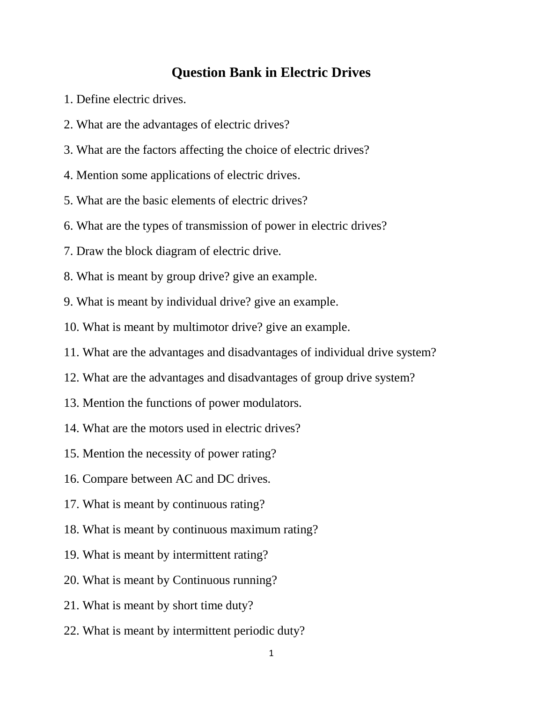## **Question Bank in Electric Drives**

- 1. Define electric drives.
- 2. What are the advantages of electric drives?
- 3. What are the factors affecting the choice of electric drives?
- 4. Mention some applications of electric drives.
- 5. What are the basic elements of electric drives?
- 6. What are the types of transmission of power in electric drives?
- 7. Draw the block diagram of electric drive.
- 8. What is meant by group drive? give an example.
- 9. What is meant by individual drive? give an example.
- 10. What is meant by multimotor drive? give an example.
- 11. What are the advantages and disadvantages of individual drive system?
- 12. What are the advantages and disadvantages of group drive system?
- 13. Mention the functions of power modulators.
- 14. What are the motors used in electric drives?
- 15. Mention the necessity of power rating?
- 16. Compare between AC and DC drives.
- 17. What is meant by continuous rating?
- 18. What is meant by continuous maximum rating?
- 19. What is meant by intermittent rating?
- 20. What is meant by Continuous running?
- 21. What is meant by short time duty?
- 22. What is meant by intermittent periodic duty?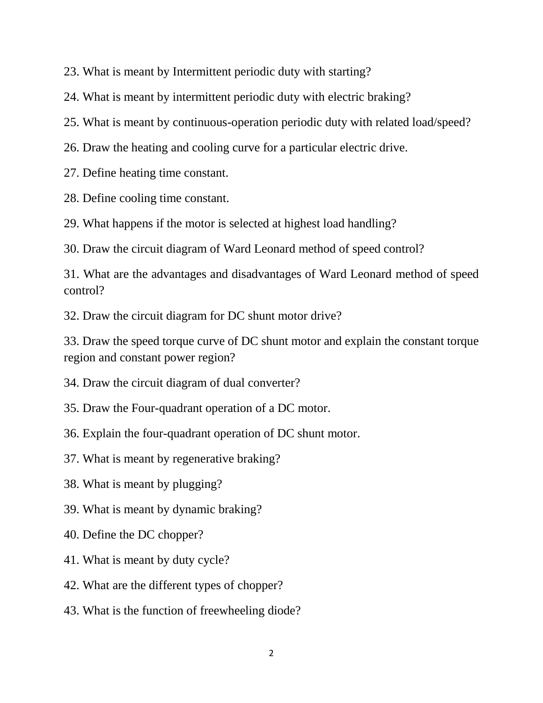23. What is meant by Intermittent periodic duty with starting?

24. What is meant by intermittent periodic duty with electric braking?

25. What is meant by continuous-operation periodic duty with related load/speed?

26. Draw the heating and cooling curve for a particular electric drive.

27. Define heating time constant.

28. Define cooling time constant.

29. What happens if the motor is selected at highest load handling?

30. Draw the circuit diagram of Ward Leonard method of speed control?

31. What are the advantages and disadvantages of Ward Leonard method of speed control?

32. Draw the circuit diagram for DC shunt motor drive?

33. Draw the speed torque curve of DC shunt motor and explain the constant torque region and constant power region?

34. Draw the circuit diagram of dual converter?

35. Draw the Four-quadrant operation of a DC motor.

36. Explain the four-quadrant operation of DC shunt motor.

37. What is meant by regenerative braking?

38. What is meant by plugging?

39. What is meant by dynamic braking?

40. Define the DC chopper?

41. What is meant by duty cycle?

42. What are the different types of chopper?

43. What is the function of freewheeling diode?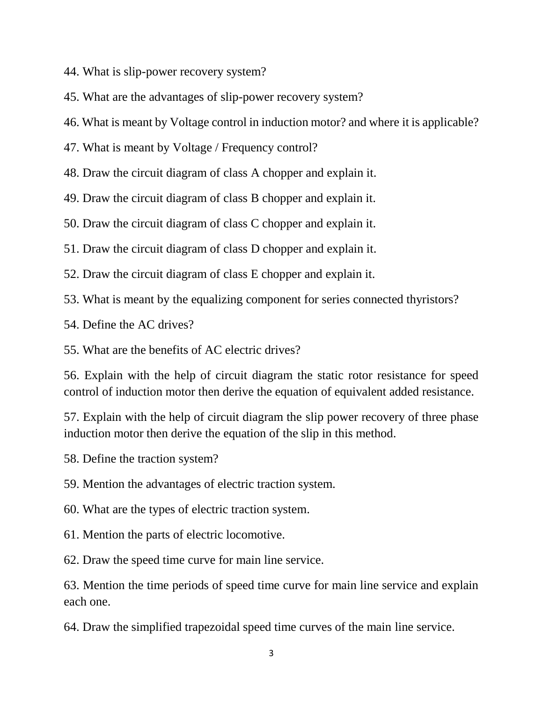- 44. What is slip-power recovery system?
- 45. What are the advantages of slip-power recovery system?
- 46. What is meant by Voltage control in induction motor? and where it is applicable?
- 47. What is meant by Voltage / Frequency control?
- 48. Draw the circuit diagram of class A chopper and explain it.
- 49. Draw the circuit diagram of class B chopper and explain it.
- 50. Draw the circuit diagram of class C chopper and explain it.
- 51. Draw the circuit diagram of class D chopper and explain it.
- 52. Draw the circuit diagram of class E chopper and explain it.
- 53. What is meant by the equalizing component for series connected thyristors?
- 54. Define the AC drives?
- 55. What are the benefits of AC electric drives?

56. Explain with the help of circuit diagram the static rotor resistance for speed control of induction motor then derive the equation of equivalent added resistance.

57. Explain with the help of circuit diagram the slip power recovery of three phase induction motor then derive the equation of the slip in this method.

- 58. Define the traction system?
- 59. Mention the advantages of electric traction system.
- 60. What are the types of electric traction system.
- 61. Mention the parts of electric locomotive.
- 62. Draw the speed time curve for main line service.

63. Mention the time periods of speed time curve for main line service and explain each one.

64. Draw the simplified trapezoidal speed time curves of the main line service.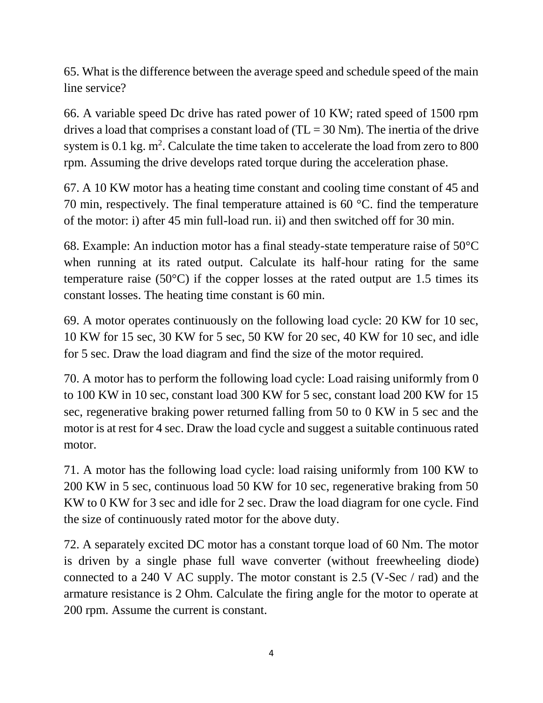65. What is the difference between the average speed and schedule speed of the main line service?

66. A variable speed Dc drive has rated power of 10 KW; rated speed of 1500 rpm drives a load that comprises a constant load of  $(T<sub>L</sub> = 30$  Nm). The inertia of the drive system is 0.1 kg.  $m^2$ . Calculate the time taken to accelerate the load from zero to 800 rpm. Assuming the drive develops rated torque during the acceleration phase.

67. A 10 KW motor has a heating time constant and cooling time constant of 45 and 70 min, respectively. The final temperature attained is 60 °C. find the temperature of the motor: i) after 45 min full-load run. ii) and then switched off for 30 min.

68. Example: An induction motor has a final steady-state temperature raise of 50°C when running at its rated output. Calculate its half-hour rating for the same temperature raise (50°C) if the copper losses at the rated output are 1.5 times its constant losses. The heating time constant is 60 min.

69. A motor operates continuously on the following load cycle: 20 KW for 10 sec, 10 KW for 15 sec, 30 KW for 5 sec, 50 KW for 20 sec, 40 KW for 10 sec, and idle for 5 sec. Draw the load diagram and find the size of the motor required.

70. A motor has to perform the following load cycle: Load raising uniformly from 0 to 100 KW in 10 sec, constant load 300 KW for 5 sec, constant load 200 KW for 15 sec, regenerative braking power returned falling from 50 to 0 KW in 5 sec and the motor is at rest for 4 sec. Draw the load cycle and suggest a suitable continuous rated motor.

71. A motor has the following load cycle: load raising uniformly from 100 KW to 200 KW in 5 sec, continuous load 50 KW for 10 sec, regenerative braking from 50 KW to 0 KW for 3 sec and idle for 2 sec. Draw the load diagram for one cycle. Find the size of continuously rated motor for the above duty.

72. A separately excited DC motor has a constant torque load of 60 Nm. The motor is driven by a single phase full wave converter (without freewheeling diode) connected to a 240 V AC supply. The motor constant is 2.5 (V-Sec / rad) and the armature resistance is 2 Ohm. Calculate the firing angle for the motor to operate at 200 rpm. Assume the current is constant.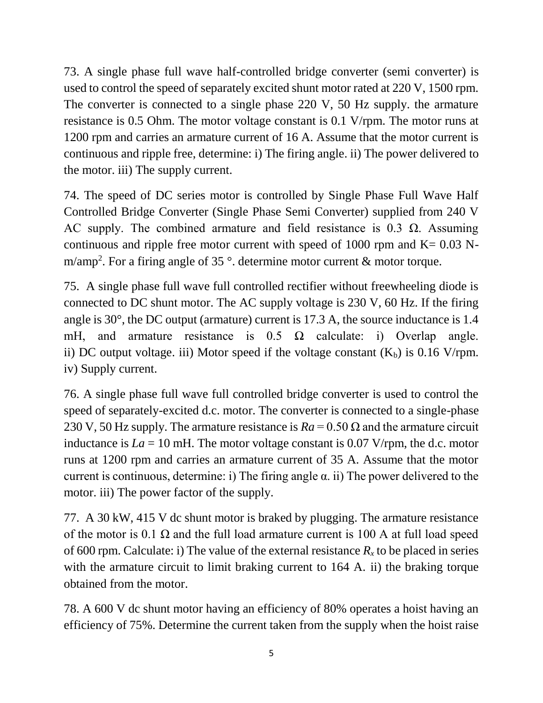73. A single phase full wave half-controlled bridge converter (semi converter) is used to control the speed of separately excited shunt motor rated at 220 V, 1500 rpm. The converter is connected to a single phase 220 V, 50 Hz supply. the armature resistance is 0.5 Ohm. The motor voltage constant is 0.1 V/rpm. The motor runs at 1200 rpm and carries an armature current of 16 A. Assume that the motor current is continuous and ripple free, determine: i) The firing angle. ii) The power delivered to the motor. iii) The supply current.

74. The speed of DC series motor is controlled by Single Phase Full Wave Half Controlled Bridge Converter (Single Phase Semi Converter) supplied from 240 V AC supply. The combined armature and field resistance is 0.3  $\Omega$ . Assuming continuous and ripple free motor current with speed of 1000 rpm and  $K = 0.03$  Nm/amp<sup>2</sup>. For a firing angle of 35  $^{\circ}$ . determine motor current & motor torque.

75. A single phase full wave full controlled rectifier without freewheeling diode is connected to DC shunt motor. The AC supply voltage is 230 V, 60 Hz. If the firing angle is 30°, the DC output (armature) current is 17.3 A, the source inductance is 1.4 mH, and armature resistance is  $0.5 \Omega$  calculate: i) Overlap angle. ii) DC output voltage. iii) Motor speed if the voltage constant  $(K_b)$  is 0.16 V/rpm. iv) Supply current.

76. A single phase full wave full controlled bridge converter is used to control the speed of separately-excited d.c. motor. The converter is connected to a single-phase 230 V, 50 Hz supply. The armature resistance is  $Ra = 0.50 \Omega$  and the armature circuit inductance is  $La = 10$  mH. The motor voltage constant is 0.07 V/rpm, the d.c. motor runs at 1200 rpm and carries an armature current of 35 A. Assume that the motor current is continuous, determine: i) The firing angle  $\alpha$ . ii) The power delivered to the motor. iii) The power factor of the supply.

77. A 30 kW, 415 V dc shunt motor is braked by plugging. The armature resistance of the motor is 0.1  $\Omega$  and the full load armature current is 100 A at full load speed of 600 rpm. Calculate: i) The value of the external resistance  $R_x$  to be placed in series with the armature circuit to limit braking current to 164 A. ii) the braking torque obtained from the motor.

78. A 600 V dc shunt motor having an efficiency of 80% operates a hoist having an efficiency of 75%. Determine the current taken from the supply when the hoist raise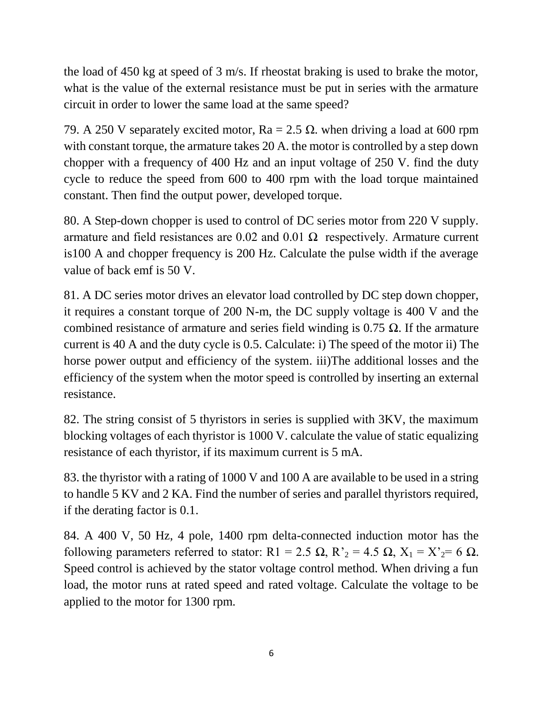the load of 450 kg at speed of 3 m/s. If rheostat braking is used to brake the motor, what is the value of the external resistance must be put in series with the armature circuit in order to lower the same load at the same speed?

79. A 250 V separately excited motor,  $Ra = 2.5 \Omega$ . when driving a load at 600 rpm with constant torque, the armature takes 20 A. the motor is controlled by a step down chopper with a frequency of 400 Hz and an input voltage of 250 V. find the duty cycle to reduce the speed from 600 to 400 rpm with the load torque maintained constant. Then find the output power, developed torque.

80. A Step-down chopper is used to control of DC series motor from 220 V supply. armature and field resistances are  $0.02$  and  $0.01 \Omega$  respectively. Armature current is100 A and chopper frequency is 200 Hz. Calculate the pulse width if the average value of back emf is 50 V.

81. A DC series motor drives an elevator load controlled by DC step down chopper, it requires a constant torque of 200 N-m, the DC supply voltage is 400 V and the combined resistance of armature and series field winding is  $0.75 \Omega$ . If the armature current is 40 A and the duty cycle is 0.5. Calculate: i) The speed of the motor ii) The horse power output and efficiency of the system. iii)The additional losses and the efficiency of the system when the motor speed is controlled by inserting an external resistance.

82. The string consist of 5 thyristors in series is supplied with 3KV, the maximum blocking voltages of each thyristor is 1000 V. calculate the value of static equalizing resistance of each thyristor, if its maximum current is 5 mA.

83. the thyristor with a rating of 1000 V and 100 A are available to be used in a string to handle 5 KV and 2 KA. Find the number of series and parallel thyristors required, if the derating factor is 0.1.

84. A 400 V, 50 Hz, 4 pole, 1400 rpm delta-connected induction motor has the following parameters referred to stator: R1 = 2.5  $\Omega$ , R'<sub>2</sub> = 4.5  $\Omega$ , X<sub>1</sub> = X'<sub>2</sub> = 6  $\Omega$ . Speed control is achieved by the stator voltage control method. When driving a fun load, the motor runs at rated speed and rated voltage. Calculate the voltage to be applied to the motor for 1300 rpm.